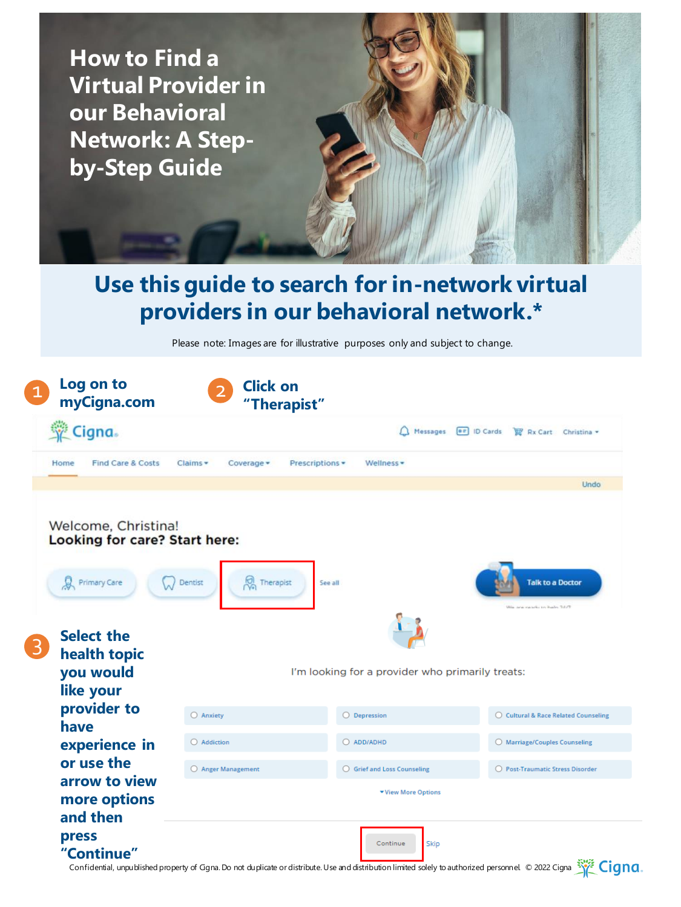

Confidential, unpublished property of Ggna. Do not duplicate or distribute. Use and distribution limited solely to authorized personnel. © 2022 Cigna  $\frac{1}{\sqrt{2}}$  Cigna.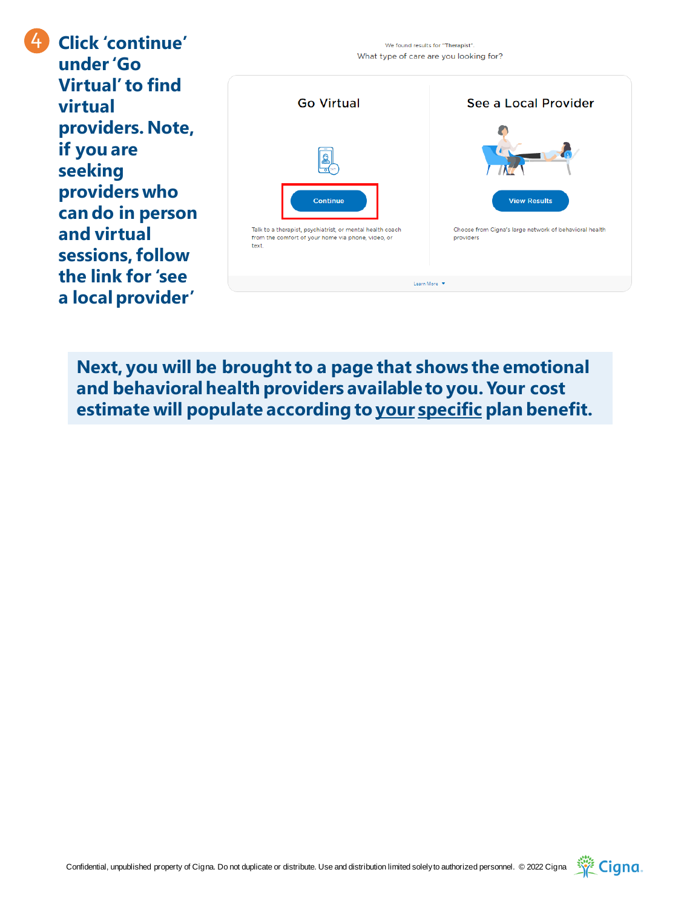**Click 'continue' under 'Go Virtual' to find virtual providers. Note, if you are seeking providers who can do in person and virtual sessions, follow the link for 'see a local provider'** 

4



**Next, you will be brought to a page that shows the emotional and behavioral health providers available to you. Your cost estimate will populate according to your specific plan benefit.**

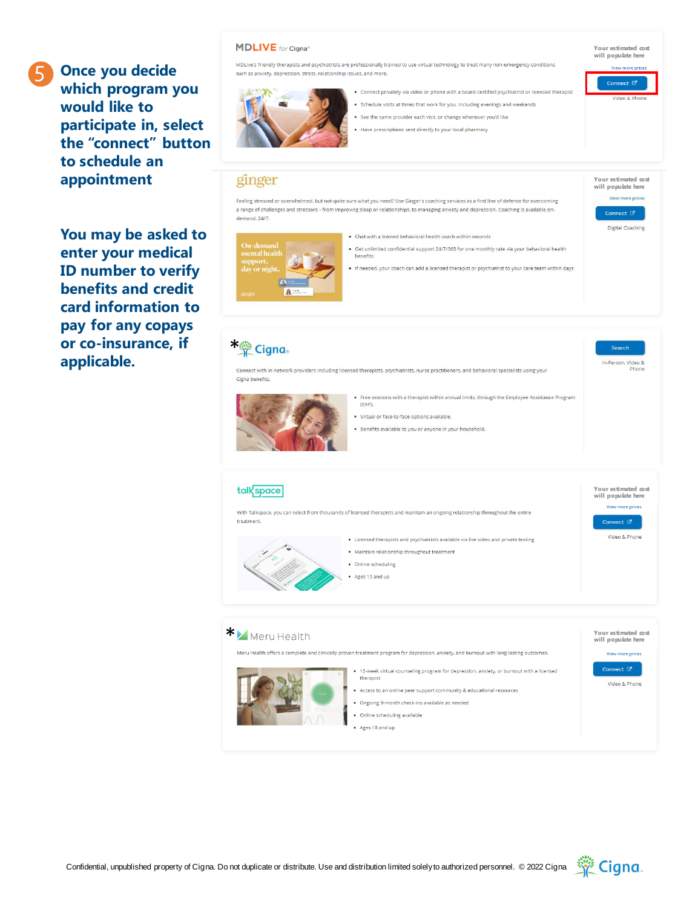5

**Once you decide which program you would like to participate in, select the "connect" button to schedule an appointment**

**You may be asked to enter your medical ID number to verify benefits and credit card information to pay for any copays or co-insurance, if applicable.**

## **MDLIVE** for Cigna®

MDLive's friendly therapists and psychiatrists are professionally trained to use virtual technology to treat many non-emergency conditions such as anxiety, depression, stress, relationship issues, and more.



- . Connect privately via video or phone with a board-certified psychiatrist or licensed therapist . Schedule visits at times that work for you, including evenings and weekends
- . See the same provider each visit, or change whenever you'd like
- . Have prescriptions sent directly to your local pharmacy

## ginger

\* Cigna.

Feeling stressed or overwhelmed, but not quite sure what you need? Use Ginger's coaching services as a first line of defense for overcoming a range of challenges and stressors - from improving sleep or relationships, to managing anxiety and depression. Coaching is available ondemand, 24/7.

- . Chat with a trained behavioral health coach within seconds
- · Get unlimited confidential support 24/7/365 for one monthly rate via your behavioral health benefits
- . If needed, your coach can add a licensed therapist or psychiatrist to your care team within days

**Your estimated cost will populate here** View more prices Connect  $\vec{C}$ 

> Search In-Person, Video &

Digital Coaching

**Your estimated cost will populate here**

Connect  $\overline{G}$ 

fiden 8. Ph.

.<br>View more price

 $\mathbf{a}$